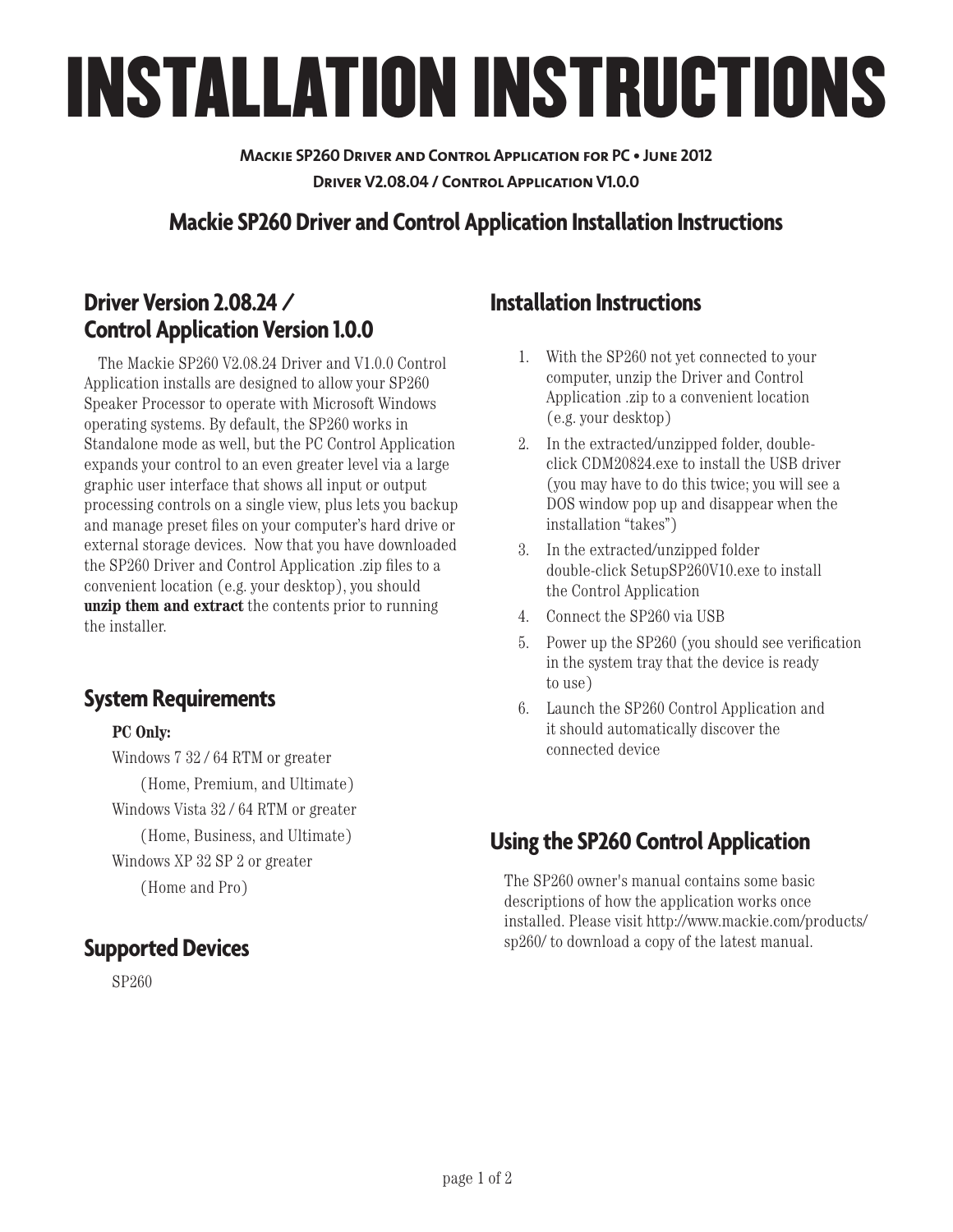# INSTALLATION INSTRUCTIONS

**Mackie SP260 Driver and Control Application for PC • June 2012 Driver V2.08.04 / Control Application V1.0.0**

### **Mackie SP260 Driver and Control Application Installation Instructions**

#### **Driver Version 2.08.24 / Control Application Version 1.0.0**

The Mackie SP260 V2.08.24 Driver and V1.0.0 Control Application installs are designed to allow your SP260 Speaker Processor to operate with Microsoft Windows operating systems. By default, the SP260 works in Standalone mode as well, but the PC Control Application expands your control to an even greater level via a large graphic user interface that shows all input or output processing controls on a single view, plus lets you backup and manage preset files on your computer's hard drive or external storage devices. Now that you have downloaded the SP260 Driver and Control Application .zip files to a convenient location (e.g. your desktop), you should **unzip them and extract** the contents prior to running the installer.

#### **System Requirements**

#### **PC Only:**

Windows 7 32 / 64 RTM or greater (Home, Premium, and Ultimate) Windows Vista 32 / 64 RTM or greater (Home, Business, and Ultimate) Windows XP 32 SP 2 or greater (Home and Pro)

#### **Supported Devices**

SP260

#### **Installation Instructions**

- 1. With the SP260 not yet connected to your computer, unzip the Driver and Control Application .zip to a convenient location (e.g. your desktop)
- 2. In the extracted/unzipped folder, doubleclick CDM20824.exe to install the USB driver (you may have to do this twice; you will see a DOS window pop up and disappear when the installation "takes")
- 3. In the extracted/unzipped folder double-click SetupSP260V10.exe to install the Control Application
- 4. Connect the SP260 via USB
- 5. Power up the SP260 (you should see verification in the system tray that the device is ready to use)
- 6. Launch the SP260 Control Application and it should automatically discover the connected device

## **Using the SP260 Control Application**

The SP260 owner's manual contains some basic descriptions of how the application works once installed. Please visit http://www.mackie.com/products/ sp260/ to download a copy of the latest manual.